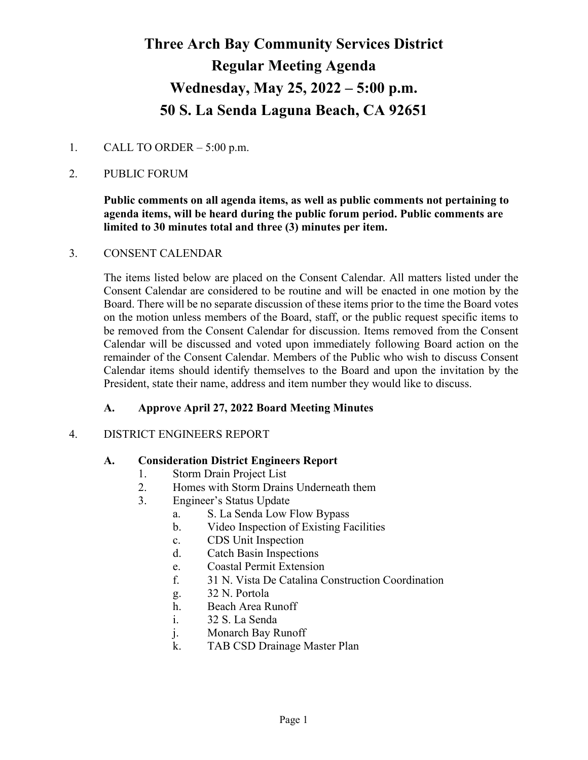# **Three Arch Bay Community Services District Regular Meeting Agenda Wednesday, May 25, 2022 – 5:00 p.m. 50 S. La Senda Laguna Beach, CA 92651**

## 1. CALL TO ORDER  $-5:00$  p.m.

## 2. PUBLIC FORUM

## **Public comments on all agenda items, as well as public comments not pertaining to agenda items, will be heard during the public forum period. Public comments are limited to 30 minutes total and three (3) minutes per item.**

#### 3. CONSENT CALENDAR

The items listed below are placed on the Consent Calendar. All matters listed under the Consent Calendar are considered to be routine and will be enacted in one motion by the Board. There will be no separate discussion of these items prior to the time the Board votes on the motion unless members of the Board, staff, or the public request specific items to be removed from the Consent Calendar for discussion. Items removed from the Consent Calendar will be discussed and voted upon immediately following Board action on the remainder of the Consent Calendar. Members of the Public who wish to discuss Consent Calendar items should identify themselves to the Board and upon the invitation by the President, state their name, address and item number they would like to discuss.

#### **A. Approve April 27, 2022 Board Meeting Minutes**

#### 4. DISTRICT ENGINEERS REPORT

#### **A. Consideration District Engineers Report**

- 1. Storm Drain Project List
- 2. Homes with Storm Drains Underneath them
- 3. Engineer's Status Update
	- a. S. La Senda Low Flow Bypass
	- b. Video Inspection of Existing Facilities
	- c. CDS Unit Inspection
	- d. Catch Basin Inspections
	- e. Coastal Permit Extension
	- f. 31 N. Vista De Catalina Construction Coordination
	- g. 32 N. Portola
	- h. Beach Area Runoff
	- i. 32 S. La Senda
	- j. Monarch Bay Runoff
	- k. TAB CSD Drainage Master Plan